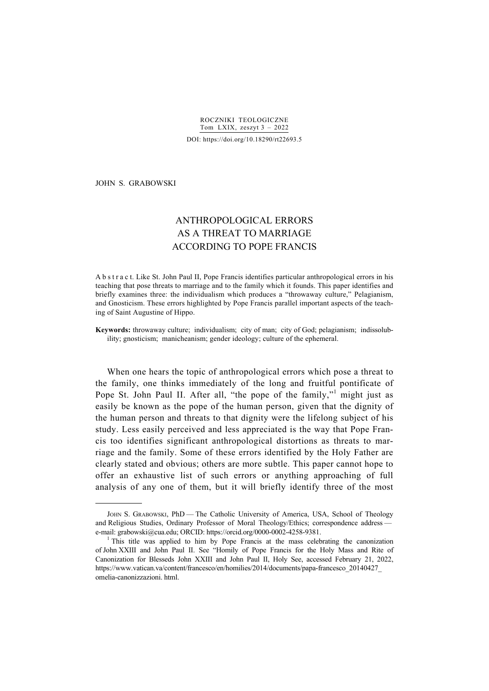### JOHN S. GRABOWSKI

-

# ANTHROPOLOGICAL ERRORS AS A THREAT TO MARRIAGE ACCORDING TO POPE FRANCIS

A b s t r a c t. Like St. John Paul II, Pope Francis identifies particular anthropological errors in his teaching that pose threats to marriage and to the family which it founds. This paper identifies and briefly examines three: the individualism which produces a "throwaway culture," Pelagianism, and Gnosticism. These errors highlighted by Pope Francis parallel important aspects of the teaching of Saint Augustine of Hippo.

**Keywords:** throwaway culture; individualism; city of man; city of God; pelagianism; indissolubility; gnosticism; manicheanism; gender ideology; culture of the ephemeral.

When one hears the topic of anthropological errors which pose a threat to the family, one thinks immediately of the long and fruitful pontificate of Pope St. John Paul II. After all, "the pope of the family,"<sup>1</sup> might just as easily be known as the pope of the human person, given that the dignity of the human person and threats to that dignity were the lifelong subject of his study. Less easily perceived and less appreciated is the way that Pope Francis too identifies significant anthropological distortions as threats to marriage and the family. Some of these errors identified by the Holy Father are clearly stated and obvious; others are more subtle. This paper cannot hope to offer an exhaustive list of such errors or anything approaching of full analysis of any one of them, but it will briefly identify three of the most

JOHN S. GRABOWSKI, PhD - The Catholic University of America, USA, School of Theology and Religious Studies, Ordinary Professor of Moral Theology/Ethics; correspondence address e-mail: grabowski@cua.edu; ORCID: https://orcid.org/0000-0002-4258-9381.

<sup>&</sup>lt;sup>1</sup> This title was applied to him by Pope Francis at the mass celebrating the canonization of John XXIII and John Paul II. See "Homily of Pope Francis for the Holy Mass and Rite of Canonization for Blesseds John XXIII and John Paul II, Holy See, accessed February 21, 2022, https://www.vatican.va/content/francesco/en/homilies/2014/documents/papa-francesco\_20140427\_ omelia-canonizzazioni. html.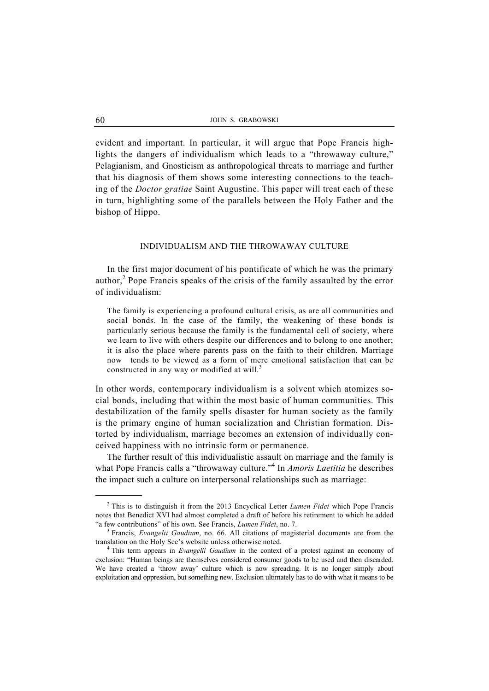evident and important. In particular, it will argue that Pope Francis highlights the dangers of individualism which leads to a "throwaway culture," Pelagianism, and Gnosticism as anthropological threats to marriage and further that his diagnosis of them shows some interesting connections to the teaching of the *Doctor gratiae* Saint Augustine. This paper will treat each of these in turn, highlighting some of the parallels between the Holy Father and the bishop of Hippo.

#### INDIVIDUALISM AND THE THROWAWAY CULTURE

In the first major document of his pontificate of which he was the primary author,<sup>2</sup> Pope Francis speaks of the crisis of the family assaulted by the error of individualism:

The family is experiencing a profound cultural crisis, as are all communities and social bonds. In the case of the family, the weakening of these bonds is particularly serious because the family is the fundamental cell of society, where we learn to live with others despite our differences and to belong to one another; it is also the place where parents pass on the faith to their children. Marriage now tends to be viewed as a form of mere emotional satisfaction that can be constructed in any way or modified at will. $3$ 

In other words, contemporary individualism is a solvent which atomizes social bonds, including that within the most basic of human communities. This destabilization of the family spells disaster for human society as the family is the primary engine of human socialization and Christian formation. Distorted by individualism, marriage becomes an extension of individually conceived happiness with no intrinsic form or permanence.

 The further result of this individualistic assault on marriage and the family is what Pope Francis calls a "throwaway culture."<sup>4</sup> In *Amoris Laetitia* he describes the impact such a culture on interpersonal relationships such as marriage:

 <sup>2</sup> This is to distinguish it from the 2013 Encyclical Letter *Lumen Fidei* which Pope Francis notes that Benedict XVI had almost completed a draft of before his retirement to which he added "a few contributions" of his own. See Francis, *Lumen Fidei*, no. 7. 3

<sup>&</sup>lt;sup>3</sup> Francis, *Evangelii Gaudium*, no. 66. All citations of magisterial documents are from the translation on the Holy See's website unless otherwise noted. 4

This term appears in *Evangelii Gaudium* in the context of a protest against an economy of exclusion: "Human beings are themselves considered consumer goods to be used and then discarded. We have created a 'throw away' culture which is now spreading. It is no longer simply about exploitation and oppression, but something new. Exclusion ultimately has to do with what it means to be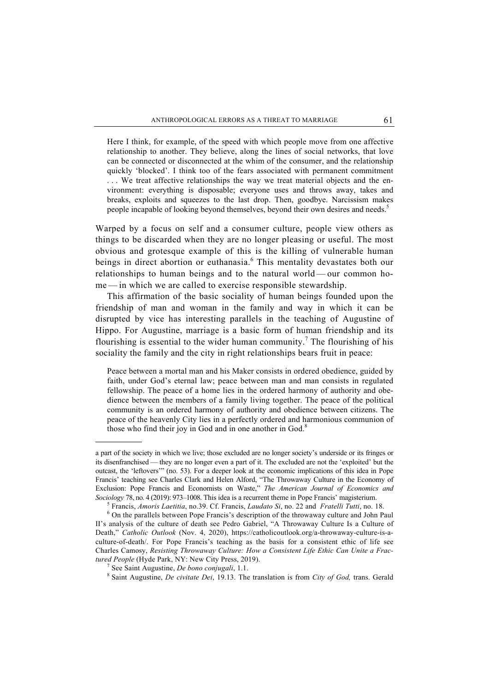Here I think, for example, of the speed with which people move from one affective relationship to another. They believe, along the lines of social networks, that love can be connected or disconnected at the whim of the consumer, and the relationship quickly 'blocked'. I think too of the fears associated with permanent commitment ... We treat affective relationships the way we treat material objects and the environment: everything is disposable; everyone uses and throws away, takes and breaks, exploits and squeezes to the last drop. Then, goodbye. Narcissism makes people incapable of looking beyond themselves, beyond their own desires and needs.<sup>5</sup>

Warped by a focus on self and a consumer culture, people view others as things to be discarded when they are no longer pleasing or useful. The most obvious and grotesque example of this is the killing of vulnerable human beings in direct abortion or euthanasia.<sup>6</sup> This mentality devastates both our relationships to human beings and to the natural world — our common home — in which we are called to exercise responsible stewardship.

 This affirmation of the basic sociality of human beings founded upon the friendship of man and woman in the family and way in which it can be disrupted by vice has interesting parallels in the teaching of Augustine of Hippo. For Augustine, marriage is a basic form of human friendship and its flourishing is essential to the wider human community.<sup>7</sup> The flourishing of his sociality the family and the city in right relationships bears fruit in peace:

Peace between a mortal man and his Maker consists in ordered obedience, guided by faith, under God's eternal law; peace between man and man consists in regulated fellowship. The peace of a home lies in the ordered harmony of authority and obedience between the members of a family living together. The peace of the political community is an ordered harmony of authority and obedience between citizens. The peace of the heavenly City lies in a perfectly ordered and harmonious communion of those who find their joy in God and in one another in God. $8$ 

1

a part of the society in which we live; those excluded are no longer society's underside or its fringes or its disenfranchised — they are no longer even a part of it. The excluded are not the 'exploited' but the outcast, the 'leftovers'" (no. 53). For a deeper look at the economic implications of this idea in Pope Francis' teaching see Charles Clark and Helen Alford, "The Throwaway Culture in the Economy of Exclusion: Pope Francis and Economists on Waste," *The American Journal of Economics and Sociology* 78, no. 4 (2019): 973–1008. This idea is a recurrent theme in Pope Francis' magisterium. 5

Francis, *Amoris Laetitia*, no.39. Cf. Francis, *Laudato Si*, no. 22 and *Fratelli Tutti*, no. 18. 6

On the parallels between Pope Francis's description of the throwaway culture and John Paul II's analysis of the culture of death see Pedro Gabriel, "A Throwaway Culture Is a Culture of Death," *Catholic Outlook* (Nov. 4, 2020), https://catholicoutlook.org/a-throwaway-culture-is-aculture-of-death/. For Pope Francis's teaching as the basis for a consistent ethic of life see Charles Camosy, *Resisting Throwaway Culture: How a Consistent Life Ethic Can Unite a Frac*tured People (Hyde Park, NY: New City Press, 2019).

See Saint Augustine, *De bono conjugali*, 1.1. 8

Saint Augustine, *De civitate Dei*, 19.13. The translation is from *City of God,* trans. Gerald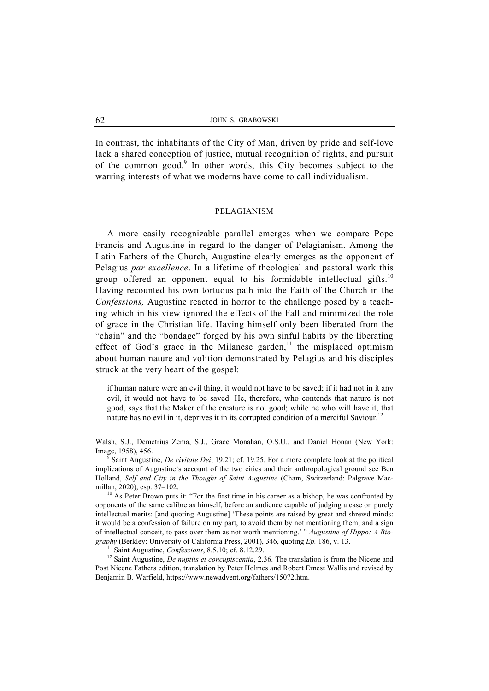In contrast, the inhabitants of the City of Man, driven by pride and self-love lack a shared conception of justice, mutual recognition of rights, and pursuit of the common good.<sup>9</sup> In other words, this City becomes subject to the warring interests of what we moderns have come to call individualism.

## PELAGIANISM

 A more easily recognizable parallel emerges when we compare Pope Francis and Augustine in regard to the danger of Pelagianism. Among the Latin Fathers of the Church, Augustine clearly emerges as the opponent of Pelagius *par excellence*. In a lifetime of theological and pastoral work this group offered an opponent equal to his formidable intellectual gifts.<sup>10</sup> Having recounted his own tortuous path into the Faith of the Church in the *Confessions,* Augustine reacted in horror to the challenge posed by a teaching which in his view ignored the effects of the Fall and minimized the role of grace in the Christian life. Having himself only been liberated from the "chain" and the "bondage" forged by his own sinful habits by the liberating effect of God's grace in the Milanese garden,<sup>11</sup> the misplaced optimism about human nature and volition demonstrated by Pelagius and his disciples struck at the very heart of the gospel:

if human nature were an evil thing, it would not have to be saved; if it had not in it any evil, it would not have to be saved. He, therefore, who contends that nature is not good, says that the Maker of the creature is not good; while he who will have it, that nature has no evil in it, deprives it in its corrupted condition of a merciful Saviour.<sup>12</sup>

opponents of the same calibre as himself, before an audience capable of judging a case on purely intellectual merits: [and quoting Augustine] 'These points are raised by great and shrewd minds: it would be a confession of failure on my part, to avoid them by not mentioning them, and a sign of intellectual conceit, to pass over them as not worth mentioning.' " *Augustine of Hippo: A Biography* (Berkley: University of California Press, 2001), 346, quoting *Ep.* 186, v. 13.<br><sup>11</sup> Saint Augustine, *Confessions*, 8.5.10; cf. 8.12.29.<br><sup>12</sup> Saint Augustine, *De nuptiis et concupiscentia*, 2.36. The translation

Post Nicene Fathers edition, translation by Peter Holmes and Robert Ernest Wallis and revised by Benjamin B. Warfield, https://www.newadvent.org/fathers/15072.htm.

-

Walsh, S.J., Demetrius Zema, S.J., Grace Monahan, O.S.U., and Daniel Honan (New York: Image, 1958), 456. 9

Saint Augustine, *De civitate Dei*, 19.21; cf. 19.25. For a more complete look at the political implications of Augustine's account of the two cities and their anthropological ground see Ben Holland, *Self and City in the Thought of Saint Augustine* (Cham, Switzerland: Palgrave Macmillan, 2020), esp. 37–102.<br><sup>10</sup> As Peter Brown puts it: "For the first time in his career as a bishop, he was confronted by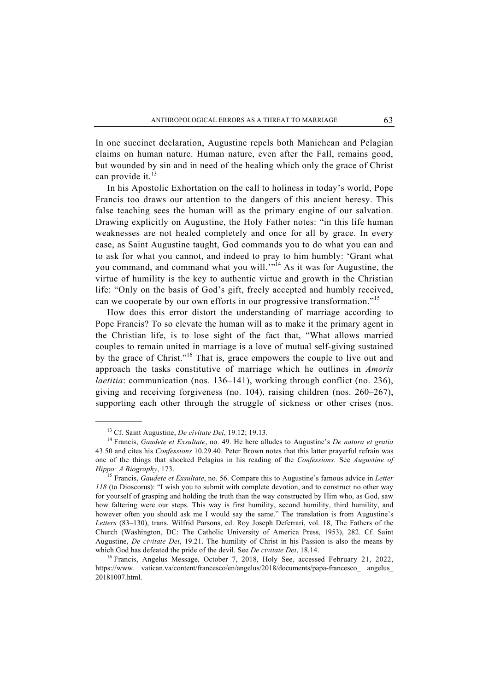In one succinct declaration, Augustine repels both Manichean and Pelagian claims on human nature. Human nature, even after the Fall, remains good, but wounded by sin and in need of the healing which only the grace of Christ can provide it. $^{13}$ 

 In his Apostolic Exhortation on the call to holiness in today's world, Pope Francis too draws our attention to the dangers of this ancient heresy. This false teaching sees the human will as the primary engine of our salvation. Drawing explicitly on Augustine, the Holy Father notes: "in this life human weaknesses are not healed completely and once for all by grace. In every case, as Saint Augustine taught, God commands you to do what you can and to ask for what you cannot, and indeed to pray to him humbly: 'Grant what you command, and command what you will.<sup>'"14</sup> As it was for Augustine, the virtue of humility is the key to authentic virtue and growth in the Christian life: "Only on the basis of God's gift, freely accepted and humbly received, can we cooperate by our own efforts in our progressive transformation."<sup>15</sup>

 How does this error distort the understanding of marriage according to Pope Francis? To so elevate the human will as to make it the primary agent in the Christian life, is to lose sight of the fact that, "What allows married couples to remain united in marriage is a love of mutual self-giving sustained by the grace of Christ."<sup>16</sup> That is, grace empowers the couple to live out and approach the tasks constitutive of marriage which he outlines in *Amoris laetitia*: communication (nos. 136–141), working through conflict (no. 236), giving and receiving forgiveness (no. 104), raising children (nos. 260–267), supporting each other through the struggle of sickness or other crises (nos.

 <sup>13</sup> Cf. Saint Augustine, *De civitate Dei*, 19.12; 19.13. 14 Francis, *Gaudete et Exsultate*, no. 49. He here alludes to Augustine's *De natura et gratia* 43.50 and cites his *Confessions* 10.29.40. Peter Brown notes that this latter prayerful refrain was one of the things that shocked Pelagius in his reading of the *Confessions*. See *Augustine of* 

*Hippo: A Biography*, 173. 15 Francis, *Gaudete et Exsultate*, no. 56. Compare this to Augustine's famous advice in *Letter 118* (to Dioscorus): "I wish you to submit with complete devotion, and to construct no other way for yourself of grasping and holding the truth than the way constructed by Him who, as God, saw how faltering were our steps. This way is first humility, second humility, third humility, and however often you should ask me I would say the same." The translation is from Augustine's *Letters* (83–130), trans. Wilfrid Parsons, ed. Roy Joseph Deferrari, vol. 18, The Fathers of the Church (Washington, DC: The Catholic University of America Press, 1953), 282. Cf. Saint Augustine, *De civitate Dei*, 19.21. The humility of Christ in his Passion is also the means by which God has defeated the pride of the devil. See *De civitate Dei*, 18.14.<br><sup>16</sup> Francis, Angelus Message, October 7, 2018, Holy See, accessed February 21, 2022,

https://www. vatican.va/content/francesco/en/angelus/2018/documents/papa-francesco\_ angelus\_ 20181007.html.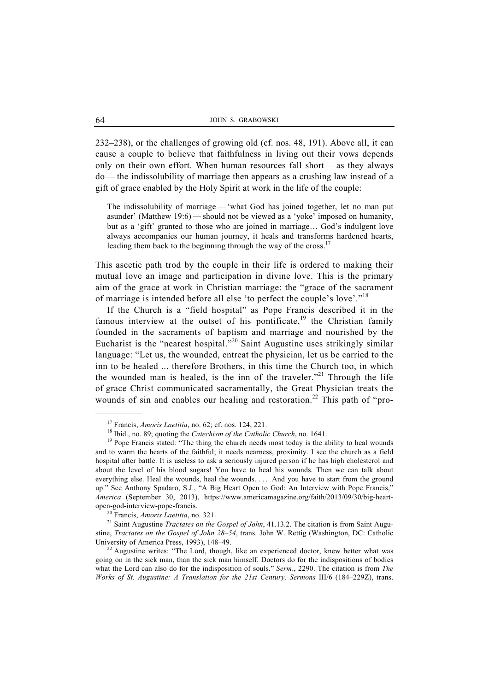232–238), or the challenges of growing old (cf. nos. 48, 191). Above all, it can cause a couple to believe that faithfulness in living out their vows depends only on their own effort. When human resources fall short — as they always do — the indissolubility of marriage then appears as a crushing law instead of a gift of grace enabled by the Holy Spirit at work in the life of the couple:

The indissolubility of marriage — 'what God has joined together, let no man put asunder' (Matthew 19:6) — should not be viewed as a 'yoke' imposed on humanity, but as a 'gift' granted to those who are joined in marriage… God's indulgent love always accompanies our human journey, it heals and transforms hardened hearts, leading them back to the beginning through the way of the cross.<sup>17</sup>

This ascetic path trod by the couple in their life is ordered to making their mutual love an image and participation in divine love. This is the primary aim of the grace at work in Christian marriage: the "grace of the sacrament of marriage is intended before all else 'to perfect the couple's love'."18

 If the Church is a "field hospital" as Pope Francis described it in the famous interview at the outset of his pontificate,<sup>19</sup> the Christian family founded in the sacraments of baptism and marriage and nourished by the Eucharist is the "nearest hospital."20 Saint Augustine uses strikingly similar language: "Let us, the wounded, entreat the physician, let us be carried to the inn to be healed ... therefore Brothers, in this time the Church too, in which the wounded man is healed, is the inn of the traveler."<sup>21</sup> Through the life of grace Christ communicated sacramentally, the Great Physician treats the wounds of sin and enables our healing and restoration.<sup>22</sup> This path of "pro-

open-god-interview-pope-francis.<br><sup>20</sup> Francis, *Amoris Laetitia*, no. 321.<br><sup>21</sup> Saint Augustine *Tractates on the Gospel of John*, 41.13.2. The citation is from Saint Augustine, *Tractates on the Gospel of John 28–54*, trans. John W. Rettig (Washington, DC: Catholic University of America Press, 1993), 148–49.<br><sup>22</sup> Augustine writes: "The Lord, though, like an experienced doctor, knew better what was

<sup>&</sup>lt;sup>17</sup> Francis, *Amoris Laetitia*, no. 62; cf. nos. 124, 221.<br><sup>18</sup> Ibid., no. 89; quoting the *Catechism of the Catholic Church*, no. 1641.<br><sup>19</sup> Pope Francis stated: "The thing the church needs most today is the ability to and to warm the hearts of the faithful; it needs nearness, proximity. I see the church as a field hospital after battle. It is useless to ask a seriously injured person if he has high cholesterol and about the level of his blood sugars! You have to heal his wounds. Then we can talk about everything else. Heal the wounds, heal the wounds. . . . And you have to start from the ground up." See Anthony Spadaro, S.J., "A Big Heart Open to God: An Interview with Pope Francis," *America* (September 30, 2013), https://www.americamagazine.org/faith/2013/09/30/big-heart-

going on in the sick man, than the sick man himself. Doctors do for the indispositions of bodies what the Lord can also do for the indisposition of souls." *Serm*., 2290. The citation is from *The Works of St. Augustine: A Translation for the 21st Century, Sermons* III/6 (184–229Z), trans.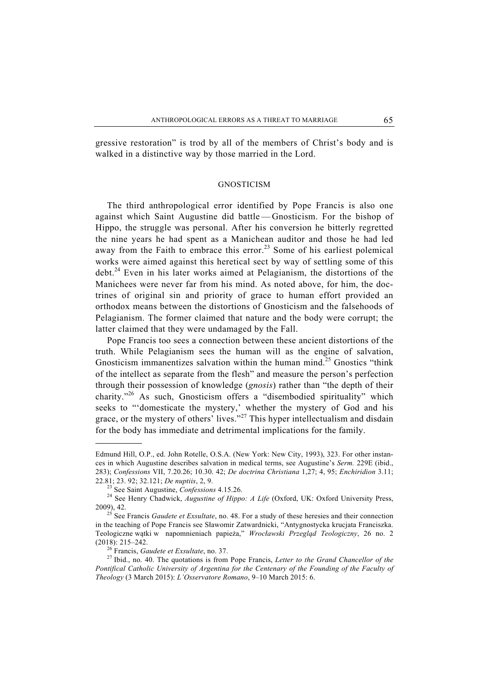gressive restoration" is trod by all of the members of Christ's body and is walked in a distinctive way by those married in the Lord.

### **GNOSTICISM**

 The third anthropological error identified by Pope Francis is also one against which Saint Augustine did battle — Gnosticism. For the bishop of Hippo, the struggle was personal. After his conversion he bitterly regretted the nine years he had spent as a Manichean auditor and those he had led away from the Faith to embrace this error.<sup>23</sup> Some of his earliest polemical works were aimed against this heretical sect by way of settling some of this debt.<sup>24</sup> Even in his later works aimed at Pelagianism, the distortions of the Manichees were never far from his mind. As noted above, for him, the doctrines of original sin and priority of grace to human effort provided an orthodox means between the distortions of Gnosticism and the falsehoods of Pelagianism. The former claimed that nature and the body were corrupt; the latter claimed that they were undamaged by the Fall.

 Pope Francis too sees a connection between these ancient distortions of the truth. While Pelagianism sees the human will as the engine of salvation, Gnosticism immanentizes salvation within the human mind.<sup>25</sup> Gnostics "think" of the intellect as separate from the flesh" and measure the person's perfection through their possession of knowledge (*gnosis*) rather than "the depth of their charity."26 As such, Gnosticism offers a "disembodied spirituality" which seeks to "'domesticate the mystery,' whether the mystery of God and his grace, or the mystery of others' lives."<sup>27</sup> This hyper intellectualism and disdain for the body has immediate and detrimental implications for the family.

-

Edmund Hill, O.P., ed. John Rotelle, O.S.A. (New York: New City, 1993), 323. For other instances in which Augustine describes salvation in medical terms, see Augustine's *Serm.* 229E (ibid., 283); *Confessions* VII, 7.20.26; 10.30. 42; *De doctrina Christiana* 1,27; 4, 95; *Enchiridion* 3.11; 22.81; 23. 92; 32.121; *De nuptiis*, 2, 9.<br><sup>23</sup> See Saint Augustine, *Confessions* 4.15.26.<br><sup>24</sup> See Henry Chadwick, *Augustine of Hippo: A Life* (Oxford, UK: Oxford University Press,

<sup>2009), 42. 25</sup> See Francis *Gaudete et Exsultate*, no. 48. For a study of these heresies and their connection

in the teaching of Pope Francis see Sławomir Zatwardnicki, "Antygnostycka krucjata Franciszka. Teologiczne wątki w napomnieniach papieża," *Wrocławski Przegląd Teologiczny*, 26 no. 2 (2018): 215–242. 26 Francis, *Gaudete et Exsultate*, no. 37. 27 Ibid., no. 40. The quotations is from Pope Francis, *Letter to the Grand Chancellor of the* 

*Pontifical Catholic University of Argentina for the Centenary of the Founding of the Faculty of Theology* (3 March 2015): *L'Osservatore Romano*, 9–10 March 2015: 6.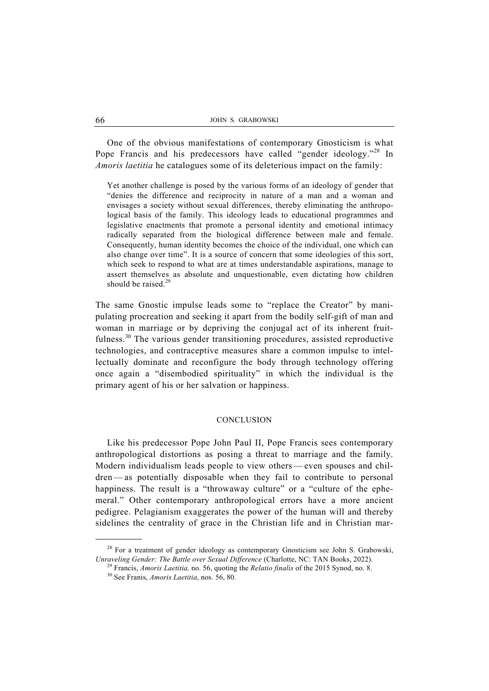One of the obvious manifestations of contemporary Gnosticism is what Pope Francis and his predecessors have called "gender ideology."<sup>28</sup> In *Amoris laetitia* he catalogues some of its deleterious impact on the family:

Yet another challenge is posed by the various forms of an ideology of gender that "denies the difference and reciprocity in nature of a man and a woman and envisages a society without sexual differences, thereby eliminating the anthropological basis of the family. This ideology leads to educational programmes and legislative enactments that promote a personal identity and emotional intimacy radically separated from the biological difference between male and female. Consequently, human identity becomes the choice of the individual, one which can also change over time". It is a source of concern that some ideologies of this sort, which seek to respond to what are at times understandable aspirations, manage to assert themselves as absolute and unquestionable, even dictating how children should be raised. $^{29}$ 

The same Gnostic impulse leads some to "replace the Creator" by manipulating procreation and seeking it apart from the bodily self-gift of man and woman in marriage or by depriving the conjugal act of its inherent fruitfulness.<sup>30</sup> The various gender transitioning procedures, assisted reproductive technologies, and contraceptive measures share a common impulse to intellectually dominate and reconfigure the body through technology offering once again a "disembodied spirituality" in which the individual is the primary agent of his or her salvation or happiness.

# **CONCLUSION**

 Like his predecessor Pope John Paul II, Pope Francis sees contemporary anthropological distortions as posing a threat to marriage and the family. Modern individualism leads people to view others — even spouses and children — as potentially disposable when they fail to contribute to personal happiness. The result is a "throwaway culture" or a "culture of the ephemeral." Other contemporary anthropological errors have a more ancient pedigree. Pelagianism exaggerates the power of the human will and thereby sidelines the centrality of grace in the Christian life and in Christian mar-

 $^{28}$  For a treatment of gender ideology as contemporary Gnosticism see John S. Grabowski, Unraveling Gender: The Battle over Sexual Difference (Charlotte, NC: TAN Books, 2022).

<sup>&</sup>lt;sup>29</sup> Francis, *Amoris Laetitia*, no. 56, quoting the *Relatio finalis* of the 2015 Synod, no. 8.<br><sup>30</sup> See Franis, *Amoris Laetitia*, nos. 56, 80.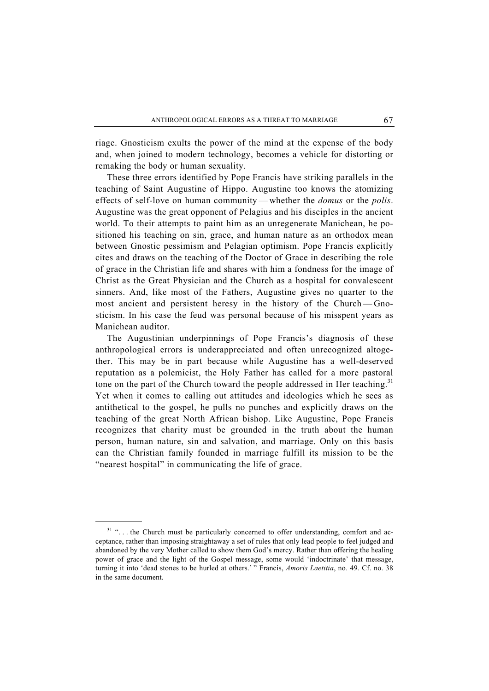riage. Gnosticism exults the power of the mind at the expense of the body and, when joined to modern technology, becomes a vehicle for distorting or remaking the body or human sexuality.

 These three errors identified by Pope Francis have striking parallels in the teaching of Saint Augustine of Hippo. Augustine too knows the atomizing effects of self-love on human community — whether the *domus* or the *polis*. Augustine was the great opponent of Pelagius and his disciples in the ancient world. To their attempts to paint him as an unregenerate Manichean, he positioned his teaching on sin, grace, and human nature as an orthodox mean between Gnostic pessimism and Pelagian optimism. Pope Francis explicitly cites and draws on the teaching of the Doctor of Grace in describing the role of grace in the Christian life and shares with him a fondness for the image of Christ as the Great Physician and the Church as a hospital for convalescent sinners. And, like most of the Fathers, Augustine gives no quarter to the most ancient and persistent heresy in the history of the Church — Gnosticism. In his case the feud was personal because of his misspent years as Manichean auditor.

 The Augustinian underpinnings of Pope Francis's diagnosis of these anthropological errors is underappreciated and often unrecognized altogether. This may be in part because while Augustine has a well-deserved reputation as a polemicist, the Holy Father has called for a more pastoral tone on the part of the Church toward the people addressed in Her teaching.<sup>31</sup> Yet when it comes to calling out attitudes and ideologies which he sees as antithetical to the gospel, he pulls no punches and explicitly draws on the teaching of the great North African bishop. Like Augustine, Pope Francis recognizes that charity must be grounded in the truth about the human person, human nature, sin and salvation, and marriage. Only on this basis can the Christian family founded in marriage fulfill its mission to be the "nearest hospital" in communicating the life of grace.

-

<sup>&</sup>lt;sup>31</sup> "... the Church must be particularly concerned to offer understanding, comfort and acceptance, rather than imposing straightaway a set of rules that only lead people to feel judged and abandoned by the very Mother called to show them God's mercy. Rather than offering the healing power of grace and the light of the Gospel message, some would 'indoctrinate' that message, turning it into 'dead stones to be hurled at others.' " Francis, *Amoris Laetitia*, no. 49. Cf. no. 38 in the same document.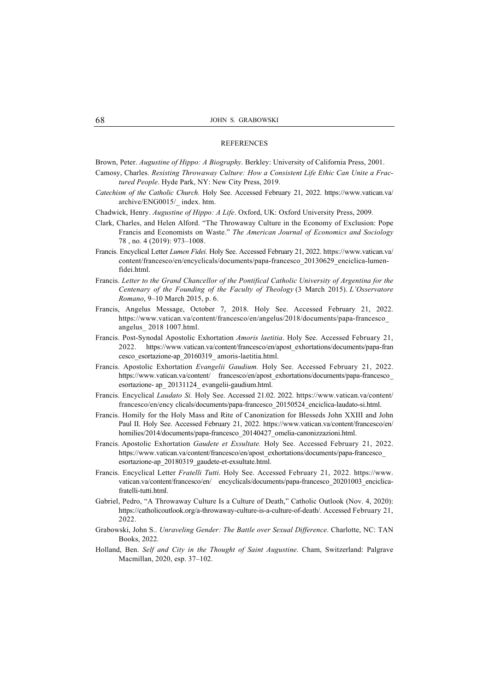#### **REFERENCES**

Brown, Peter. *Augustine of Hippo: A Biography*. Berkley: University of California Press, 2001.

- Camosy, Charles. *Resisting Throwaway Culture: How a Consistent Life Ethic Can Unite a Fractured People*. Hyde Park, NY: New City Press, 2019.
- *Catechism of the Catholic Church.* Holy See. Accessed February 21, 2022. https://www.vatican.va/ archive/ENG0015/\_ index. htm.

Chadwick, Henry. *Augustine of Hippo: A Life*. Oxford, UK: Oxford University Press, 2009.

- Clark, Charles, and Helen Alford. "The Throwaway Culture in the Economy of Exclusion: Pope Francis and Economists on Waste." *The American Journal of Economics and Sociology* 78 , no. 4 (2019): 973–1008.
- Francis. Encyclical Letter *Lumen Fidei.* Holy See. Accessed February 21, 2022. https://www.vatican.va/ content/francesco/en/encyclicals/documents/papa-francesco\_20130629\_enciclica-lumenfidei.html.
- Francis. *Letter to the Grand Chancellor of the Pontifical Catholic University of Argentina for the Centenary of the Founding of the Faculty of Theology* (3 March 2015). *L'Osservatore Romano*, 9–10 March 2015, p. 6.
- Francis, Angelus Message, October 7, 2018. Holy See. Accessed February 21, 2022. https://www.vatican.va/content/francesco/en/angelus/2018/documents/papa-francesco\_ angelus\_ 2018 1007.html.
- Francis. Post-Synodal Apostolic Exhortation *Amoris laetitia*. Holy See. Accessed February 21, 2022. https://www.vatican.va/content/francesco/en/apost\_exhortations/documents/papa-fran cesco\_esortazione-ap\_20160319\_ amoris-laetitia.html.
- Francis. Apostolic Exhortation *Evangelii Gaudium.* Holy See. Accessed February 21, 2022. https://www.vatican.va/content/ francesco/en/apost\_exhortations/documents/papa-francesco\_ esortazione- ap\_ 20131124\_ evangelii-gaudium.html.
- Francis. Encyclical *Laudato Si.* Holy See. Accessed 21.02. 2022. https://www.vatican.va/content/ francesco/en/ency clicals/documents/papa-francesco\_20150524\_enciclica-laudato-si.html.
- Francis. Homily for the Holy Mass and Rite of Canonization for Blesseds John XXIII and John Paul II. Holy See. Accessed February 21, 2022. https://www.vatican.va/content/francesco/en/ homilies/2014/documents/papa-francesco\_20140427\_omelia-canonizzazioni.html.
- Francis. Apostolic Exhortation *Gaudete et Exsultate.* Holy See. Accessed February 21, 2022. https://www.vatican.va/content/francesco/en/apost\_exhortations/documents/papa-francesco\_ esortazione-ap\_20180319\_gaudete-et-exsultate.html.
- Francis. Encyclical Letter *Fratelli Tutti*. Holy See. Accessed February 21, 2022. https://www. vatican.va/content/francesco/en/ encyclicals/documents/papa-francesco 20201003 enciclicafratelli-tutti.html.
- Gabriel, Pedro, "A Throwaway Culture Is a Culture of Death," Catholic Outlook (Nov. 4, 2020): https://catholicoutlook.org/a-throwaway-culture-is-a-culture-of-death/. Accessed February 21, 2022.
- Grabowski, John S.. *Unraveling Gender: The Battle over Sexual Difference*. Charlotte, NC: TAN Books, 2022.
- Holland, Ben. *Self and City in the Thought of Saint Augustine*. Cham, Switzerland: Palgrave Macmillan, 2020, esp. 37–102.